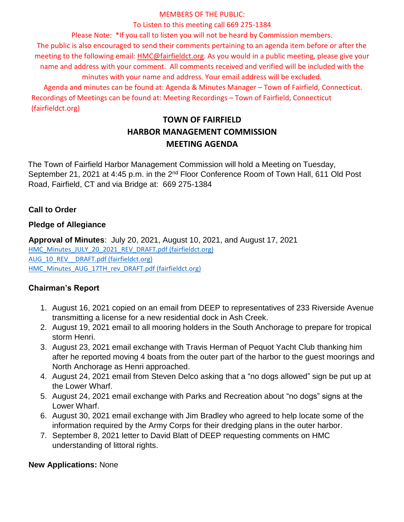### MEMBERS OF THE PUBLIC:

### To Listen to this meeting call 669 275-1384

Please Note: \*If you call to listen you will not be heard by Commission members.

The public is also encouraged to send their comments pertaining to an agenda item before or after the meeting to the following email: HMC@fairfieldct.org. As you would in a public meeting, please give your name and address with your comment. All comments received and verified will be included with the minutes with your name and address. Your email address will be excluded.

Agenda and minutes can be found at: Agenda & Minutes Manager – Town of Fairfield, Connecticut. Recordings of Meetings can be found at: Meeting Recordings – Town of Fairfield, Connecticut (fairfieldct.org)

# **TOWN OF FAIRFIELD HARBOR MANAGEMENT COMMISSION MEETING AGENDA**

The Town of Fairfield Harbor Management Commission will hold a Meeting on Tuesday, September 21, 2021 at 4:45 p.m. in the 2<sup>nd</sup> Floor Conference Room of Town Hall, 611 Old Post Road, Fairfield, CT and via Bridge at: 669 275-1384

# **Call to Order**

# **Pledge of Allegiance**

**Approval of Minutes**: July 20, 2021, August 10, 2021, and August 17, 2021 [HMC\\_Minutes\\_JULY\\_20\\_2021\\_REV\\_DRAFT.pdf \(fairfieldct.org\)](https://www.fairfieldct.org/filestorage/10736/12067/17037/66861/94822/111510/HMC_Minutes_JULY_20_2021_REV_DRAFT.pdf) AUG 10\_REV\_\_DRAFT.pdf (fairfieldct.org) [HMC\\_Minutes\\_AUG\\_17TH\\_rev\\_DRAFT.pdf \(fairfieldct.org\)](https://www.fairfieldct.org/filestorage/10736/12067/17037/66861/94822/111510/HMC_Minutes_AUG_17TH_rev_DRAFT.pdf)

# **Chairman's Report**

- 1. August 16, 2021 copied on an email from DEEP to representatives of 233 Riverside Avenue transmitting a license for a new residential dock in Ash Creek.
- 2. August 19, 2021 email to all mooring holders in the South Anchorage to prepare for tropical storm Henri.
- 3. August 23, 2021 email exchange with Travis Herman of Pequot Yacht Club thanking him after he reported moving 4 boats from the outer part of the harbor to the guest moorings and North Anchorage as Henri approached.
- 4. August 24, 2021 email from Steven Delco asking that a "no dogs allowed" sign be put up at the Lower Wharf.
- 5. August 24, 2021 email exchange with Parks and Recreation about "no dogs" signs at the Lower Wharf.
- 6. August 30, 2021 email exchange with Jim Bradley who agreed to help locate some of the information required by the Army Corps for their dredging plans in the outer harbor.
- 7. September 8, 2021 letter to David Blatt of DEEP requesting comments on HMC understanding of littoral rights.

# **New Applications:** None